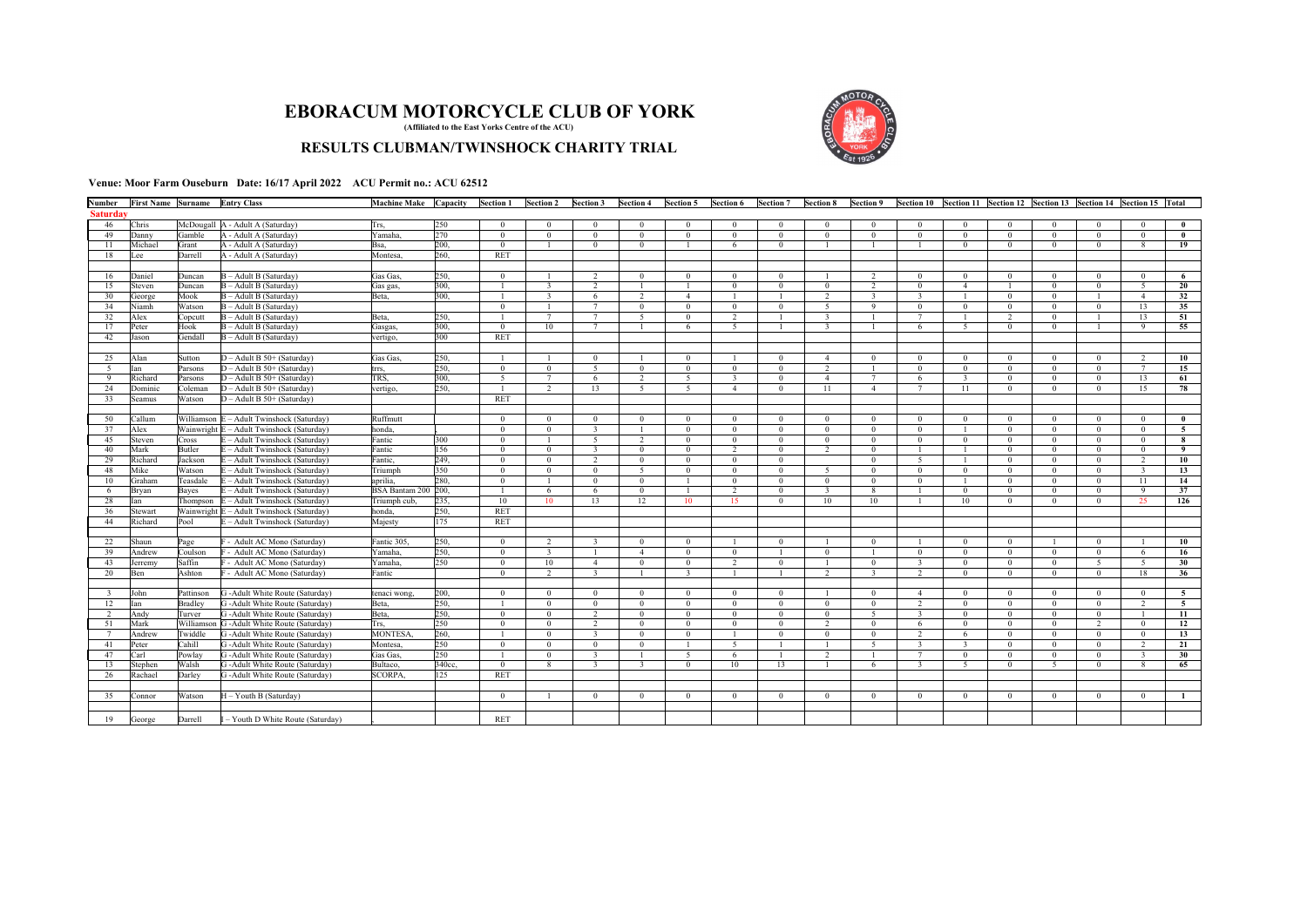## **EBORACUM MOTORCYCLE CLUB OF YORK (Affiliated to the East Yorks Centre of the ACU)**

## **RESULTS CLUBMAN/TWINSHOCK CHARITY TRIAL**



**Venue: Moor Farm Ouseburn Date: 16/17 April 2022 ACU Permit no.: ACU 62512**

| Number          |         | First Name Surname Entry Class |                                  | Machine Make Capacity |        | Section 1      | <b>Section 2</b> | <b>Section 3</b>        | <b>Section 4</b> | Section 5      | <b>Section 6</b> | Section 7      | Section 8               | Section 9               |                         |                |                |                | Section 10 Section 11 Section 12 Section 13 Section 14 Section 15 Total |                 |                |
|-----------------|---------|--------------------------------|----------------------------------|-----------------------|--------|----------------|------------------|-------------------------|------------------|----------------|------------------|----------------|-------------------------|-------------------------|-------------------------|----------------|----------------|----------------|-------------------------------------------------------------------------|-----------------|----------------|
| <b>Saturday</b> |         |                                |                                  |                       |        |                |                  |                         |                  |                |                  |                |                         |                         |                         |                |                |                |                                                                         |                 |                |
| 46              | Chris   |                                | McDougall A - Adult A (Saturday) | Trs,                  | 250    | $\theta$       | $\theta$         | $\overline{0}$          | $\overline{0}$   | $\mathbf{0}$   | $\Omega$         | $\Omega$       | $\Omega$                | $\Omega$                | $\Omega$                | $\Omega$       | $\Omega$       | $\Omega$       |                                                                         |                 | $\theta$       |
| 49              | Danny   | Gamble                         | A - Adult A (Saturday)           | Yamaha,               | 270    | $\mathbf{0}$   | $\overline{0}$   | $\overline{0}$          | $\mathbf{0}$     | $\mathbf{0}$   | $\theta$         | $\theta$       | $\overline{0}$          | $\mathbf{0}$            | $\theta$                | $\mathbf{0}$   | $\mathbf{0}$   | $\mathbf{0}$   | $\theta$                                                                | $\theta$        | $\mathbf{0}$   |
| 11              | Michael | Grant                          | A - Adult A (Saturday)           | Bsa.                  | 200.   | $\mathbf{0}$   | $\overline{1}$   | $\overline{0}$          | $\Omega$         | $\overline{1}$ | 6                | $\Omega$       |                         |                         |                         | $\mathbf{0}$   | $\Omega$       | $\theta$       | $\Omega$                                                                | 8               | 19             |
| 18              | Lee     | Darrell                        | A - Adult A (Saturday)           | Montesa.              | 260.   | <b>RET</b>     |                  |                         |                  |                |                  |                |                         |                         |                         |                |                |                |                                                                         |                 |                |
|                 |         |                                |                                  |                       |        |                |                  |                         |                  |                |                  |                |                         |                         |                         |                |                |                |                                                                         |                 |                |
| 16              | Daniel  | Duncan                         | B - Adult B (Saturday)           | Gas Gas.              | 250.   | $\theta$       |                  | $\overline{2}$          | $\mathbf{0}$     | $\mathbf{0}$   | $\Omega$         | $\theta$       |                         | 2                       | $\Omega$                | $\theta$       | $\mathbf{0}$   | $\Omega$       | $\Omega$                                                                | $\Omega$        | -6             |
| 15              | Steven  | Duncan                         | - Adult B (Saturday)             | Gas gas,              | 300.   |                | $\overline{3}$   | $\overline{2}$          | $\overline{1}$   | $\overline{1}$ | $\mathbf{0}$     | $\overline{0}$ | $\mathbf{0}$            | $\overline{2}$          | $\overline{0}$          | $\overline{4}$ |                | $\mathbf{0}$   | $\theta$                                                                | 5               | 20             |
| 30              | George  | Mook                           | $B -$ Adult B (Saturday)         | Beta.                 | 300.   |                | $\overline{3}$   | 6                       | $\overline{2}$   | $\overline{4}$ | $\overline{1}$   |                | 2                       | $\overline{\mathbf{3}}$ | $\overline{\mathbf{3}}$ |                | $\Omega$       | $\Omega$       |                                                                         | $\overline{4}$  | 32             |
| 34              | Niamh   | Watson                         | - Adult B (Saturday)             |                       |        | $\theta$       |                  | $\overline{7}$          | $\mathbf{0}$     | $\overline{0}$ | $\Omega$         | $\theta$       | -5                      | 9                       | $\Omega$                | $\theta$       | $\overline{0}$ | $\Omega$       | $\Omega$                                                                | 13              | 35             |
| 32              | Alex    | Copcutt                        | - Adult B (Saturday)             | Beta,                 | 250.   |                | $\overline{7}$   | $\overline{7}$          | 5                | $\mathbf{0}$   | $\overline{2}$   |                | $\overline{\mathbf{3}}$ |                         |                         |                | $\overline{2}$ | $\mathbf{0}$   |                                                                         | 13              | 51             |
| 17              | Peter   | Hook                           | $B -$ Adult B (Saturday)         | Gasgas.               | 300.   | $\overline{0}$ | 10               | $\overline{7}$          |                  | 6              | $\overline{5}$   |                | $\overline{\mathbf{3}}$ |                         | 6                       | $\overline{5}$ | $\mathbf{0}$   | $\overline{0}$ |                                                                         | $\Omega$        | 55             |
| 42              | Jason   | Gendall                        | B - Adult B (Saturday)           | vertigo,              | 300    | <b>RET</b>     |                  |                         |                  |                |                  |                |                         |                         |                         |                |                |                |                                                                         |                 |                |
|                 |         |                                |                                  |                       |        |                |                  |                         |                  |                |                  |                |                         |                         |                         |                |                |                |                                                                         |                 |                |
| 25              | Alan    | Sutton                         | $D -$ Adult B 50+ (Saturday)     | Gas Gas.              | 250.   |                | $\overline{1}$   | $\overline{0}$          | $\overline{1}$   | $\mathbf{0}$   | $\overline{1}$   | $\overline{0}$ | $\overline{4}$          | $\mathbf{0}$            | $\mathbf{0}$            | $\mathbf{0}$   | $\mathbf{0}$   | $\Omega$       | $\Omega$                                                                | 2               | 10             |
| $\sim$          | Ian     | Parsons                        | $D -$ Adult B 50+ (Saturday)     | trrs.                 | 250.   | $\mathbf{0}$   | $\overline{0}$   | $\overline{5}$          | $\overline{0}$   | $\mathbf{0}$   | $\mathbf{0}$     | $\theta$       | 2                       | $\overline{1}$          | $\overline{0}$          | $\overline{0}$ | $\overline{0}$ | $\mathbf{0}$   | $\Omega$                                                                | $7\phantom{.0}$ | 15             |
| -9              | Richard | Parsons                        | $D -$ Adult B 50+ (Saturday)     | TRS.                  | 300.   | $\overline{5}$ | 7                | $6\overline{6}$         | $\overline{2}$   | $\overline{5}$ | $\overline{3}$   | $\overline{0}$ | $\overline{4}$          | 7                       | 6                       | $\overline{3}$ | $\Omega$       | $\theta$       | $\Omega$                                                                | 13              | 61             |
| 24              | Dominic | Coleman                        | $D -$ Adult B 50+ (Saturday)     | vertigo.              | 250.   |                | $\overline{2}$   | 13                      | $\sim$           | 5              | $\overline{a}$   | $\Omega$       | 11                      | $\overline{A}$          | $7\phantom{.0}$         | 11             | $\overline{0}$ | $\overline{0}$ | $\mathbf{0}$                                                            | 15              | 78             |
| 33              | Seamus  | Watson                         | $D -$ Adult B 50+ (Saturday)     |                       |        | <b>RET</b>     |                  |                         |                  |                |                  |                |                         |                         |                         |                |                |                |                                                                         |                 |                |
|                 |         |                                |                                  |                       |        |                |                  |                         |                  |                |                  |                |                         |                         |                         |                |                |                |                                                                         |                 |                |
| 50              | Callum  | Williamson                     | - Adult Twinshock (Saturday)     | Ruffmutt              |        | $\overline{0}$ | $\mathbf{0}$     | $\mathbf{0}$            | $\overline{0}$   | $\overline{0}$ | $\mathbf{0}$     | $\mathbf{0}$   | $\theta$                | $\overline{0}$          | $\overline{0}$          | $\overline{0}$ | $\overline{0}$ | $\mathbf{0}$   | $\theta$                                                                | $\Omega$        | $\bf{0}$       |
| 37              | Alex    | Wainwright E                   | - Adult Twinshock (Saturday)     | honda.                |        | $\overline{0}$ | $\overline{0}$   | $\overline{\mathbf{3}}$ | $\mathbf{1}$     | $\Omega$       | $\theta$         | $\theta$       | $\overline{0}$          | $\Omega$                | $\Omega$                | $\mathbf{1}$   | $\Omega$       | $\theta$       | $\Omega$                                                                | $\Omega$        | $\overline{5}$ |
| 45              | Steven  | Cross                          | - Adult Twinshock (Saturday)     | Fantic                | 300    | $\theta$       | $\mathbf{1}$     | 5                       | $\overline{2}$   | $\mathbf{0}$   | $\Omega$         | $\theta$       | $\theta$                | $\mathbf{0}$            | $\theta$                | $\mathbf{0}$   | $\overline{0}$ | $\mathbf{0}$   | $\theta$                                                                | $\Omega$        | 8              |
| 40              | Mark    | Butler                         | - Adult Twinshock (Saturday)     | Fantic                | 156    | $\mathbf{0}$   | $\Omega$         | $\overline{\mathbf{3}}$ | $\mathbf{0}$     | $\mathbf{0}$   | 2                | $\theta$       | $\overline{2}$          | $\mathbf{0}$            |                         | $\overline{1}$ | $\overline{0}$ | $\theta$       | $\Omega$                                                                | $\Omega$        | 9              |
| 29              | Richard | Jackson                        | - Adult Twinshock (Saturday)     | Fantic.               | 249.   | $\overline{0}$ | $\overline{0}$   | $\overline{2}$          | $\mathbf{0}$     | $\mathbf{0}$   | $\theta$         | $\theta$       |                         | $\mathbf{0}$            | $\overline{5}$          | $\overline{1}$ | $\overline{0}$ | $\overline{0}$ | $\mathbf{0}$                                                            | $\mathcal{L}$   | 10             |
| 48              | Mike    | Watson                         | - Adult Twinshock (Saturday)     | Triumph               | 350    | $\mathbf{0}$   | $\overline{0}$   | $\mathbf{0}$            | 5                | $\mathbf{0}$   | $\mathbf{0}$     | $\overline{0}$ | $\sim$                  | $\Omega$                | $\mathbf{0}$            | $\mathbf{0}$   | $\mathbf{0}$   | $\overline{0}$ | $\Omega$                                                                | $\overline{3}$  | 13             |
| 10              | Graham  | Teasdale                       | - Adult Twinshock (Saturday)     | aprilia.              | 280.   | $\theta$       | $\overline{1}$   | $\overline{0}$          | $\Omega$         | $\overline{1}$ | $\Omega$         | $\Omega$       | $\overline{0}$          | $\Omega$                | $\Omega$                | $\overline{1}$ | $\Omega$       | $\Omega$       | $\Omega$                                                                | 11              | 14             |
| -6              | Brvan   | Baves                          | - Adult Twinshock (Saturday)     | BSA Bantam 200 200.   |        |                | 6                | 6                       | $\mathbf{0}$     | -1             | $\overline{2}$   | $\overline{0}$ | $\overline{\mathbf{3}}$ | 8                       |                         | $\mathbf{0}$   | $\overline{0}$ | $\mathbf{0}$   | $\Omega$                                                                | $\overline{9}$  | 37             |
| 28              | Ian     | Thompson                       | - Adult Twinshock (Saturday)     | Triumph cub,          | 235.   | 10             | 10               | 13                      | 12               | 10             | 15               | $\theta$       | 10                      | 10                      |                         | 10             | $\Omega$       | $\Omega$       | $\Omega$                                                                | 25              | 126            |
| 36              | Stewart | Wainwright                     | - Adult Twinshock (Saturday)     | honda.                | 250.   | <b>RET</b>     |                  |                         |                  |                |                  |                |                         |                         |                         |                |                |                |                                                                         |                 |                |
| 44              | Richard | Pool                           | - Adult Twinshock (Saturday)     | Maiesty               | 175    | <b>RET</b>     |                  |                         |                  |                |                  |                |                         |                         |                         |                |                |                |                                                                         |                 |                |
|                 |         |                                |                                  |                       |        |                |                  |                         |                  |                |                  |                |                         |                         |                         |                |                |                |                                                                         |                 |                |
| 22              | Shaun   | Page                           | - Adult AC Mono (Saturday)       | Fantic 305.           | 250.   | $\mathbf{0}$   | $\overline{2}$   | $\overline{3}$          | $\mathbf{0}$     | $\mathbf{0}$   | $\overline{1}$   | $\overline{0}$ |                         | $\overline{0}$          |                         | $\mathbf{0}$   | $\Omega$       |                | $\Omega$                                                                |                 | 10             |
| 39              | Andrew  | Coulson                        | - Adult AC Mono (Saturday)       | Yamaha.               | 250    | $\theta$       | $\overline{3}$   | -1                      | $\overline{4}$   | $\mathbf{0}$   | $\theta$         | $\overline{1}$ | $\overline{0}$          |                         | $\Omega$                | $\theta$       | $\mathbf{0}$   | $\Omega$       | $\Omega$                                                                | 6               | 16             |
| 43              | Jerremy | Saffin                         | - Adult AC Mono (Saturday)       | Yamaha.               | 250    | $\overline{0}$ | 10               | $\overline{4}$          | $\mathbf{0}$     | $\mathbf{0}$   | 2                | $\overline{0}$ | $\overline{1}$          | $\mathbf{0}$            | $\overline{3}$          | $\overline{0}$ | $\mathbf{0}$   | $\Omega$       | 5                                                                       | 5               | 30             |
| 20              | Ben     | Ashton                         | - Adult AC Mono (Saturday)       | Fantic                |        | $\Omega$       | $\overline{2}$   | $\overline{3}$          | $\overline{1}$   | 3              | $\overline{1}$   | $\overline{1}$ | $\overline{2}$          | $\overline{\mathbf{3}}$ | $\overline{2}$          | $\overline{0}$ | $\mathbf{0}$   | $\theta$       | $\theta$                                                                | 18              | 36             |
|                 |         |                                |                                  |                       |        |                |                  |                         |                  |                |                  |                |                         |                         |                         |                |                |                |                                                                         |                 |                |
| 3               | John    | Pattinson                      | G -Adult White Route (Saturday)  | tenaci wong.          | 200.   | $\theta$       | $\overline{0}$   | $\mathbf{0}$            | $\mathbf{0}$     | $\mathbf{0}$   | $\mathbf{0}$     | $\theta$       |                         | $\mathbf{0}$            | $\overline{4}$          | $\overline{0}$ | $\mathbf{0}$   | $\theta$       | $\Omega$                                                                | $\Omega$        | $\overline{5}$ |
| 12              | Ian     | Bradley                        | G -Adult White Route (Saturday)  | Beta,                 | 250.   |                | $\overline{0}$   | $\overline{0}$          | $\mathbf{0}$     | $\mathbf{0}$   | $\Omega$         | $\theta$       | $\overline{0}$          | $\mathbf{0}$            | $\overline{2}$          | $\Omega$       | $\Omega$       | $\theta$       | $\Omega$                                                                | $\overline{2}$  | 5              |
| 2               | Andy    | Turver                         | G -Adult White Route (Saturday)  | Beta.                 | 250.   | $\theta$       | $\overline{0}$   | 2                       | $\Omega$         | $\mathbf{0}$   | $\Omega$         | $\theta$       | $\overline{0}$          | 5                       | $\overline{\mathbf{3}}$ | $\overline{0}$ | $\Omega$       | $\theta$       | $\Omega$                                                                |                 | 11             |
| 51              | Mark    | Williamson                     | G -Adult White Route (Saturday)  | Trs.                  | 250    | $\theta$       | $\theta$         | 2                       | $\mathbf{0}$     | $\mathbf{0}$   | $\Omega$         | $\theta$       | $\overline{2}$          | $\Omega$                | 6                       | $\Omega$       | $\Omega$       | $\Omega$       | $\mathcal{D}$                                                           | $\Omega$        | 12             |
| $\overline{7}$  | Andrew  | Twiddle                        | G -Adult White Route (Saturday)  | MONTESA.              | 260.   |                | $\overline{0}$   | $\overline{\mathbf{3}}$ | $\Omega$         | $\Omega$       |                  | $\overline{0}$ | $\theta$                | $\Omega$                | $\overline{2}$          | 6 <sup>2</sup> | $\theta$       | $\Omega$       | $\Omega$                                                                | $\Omega$        | 13             |
| 41              | Peter   | Cahill                         | G -Adult White Route (Saturday)  | Montesa.              | 250    | $\theta$       | $\theta$         | $\overline{0}$          | $\mathbf{0}$     |                | $\overline{5}$   |                |                         | 5                       | $\overline{3}$          | $\overline{3}$ | $\Omega$       | $\Omega$       | $\Omega$                                                                | $\mathcal{D}$   | 21             |
| 47              | Carl    | Powlay                         | G -Adult White Route (Saturday)  | Gas Gas.              | 250    |                | $\overline{0}$   | $\overline{3}$          | $\mathbf{1}$     | 5              | 6                | $\overline{1}$ | 2                       | $\mathbf{1}$            | $7\phantom{.0}$         | $\overline{0}$ | $\mathbf{0}$   | $\overline{0}$ | $\theta$                                                                | $\overline{3}$  | 30             |
| 13              | Stephen | Walsh                          | G -Adult White Route (Saturday)  | Bultaco,              | 340cc, | $\mathbf{0}$   | 8                | $\overline{\mathbf{3}}$ | $\overline{3}$   | $\Omega$       | 10               | 13             | $\overline{1}$          | 6                       | $\overline{3}$          | $\sim$         | $\overline{0}$ | $\sim$         | $\Omega$                                                                | $\mathbf{R}$    | 65             |
| 26              | Rachael | Darley                         | G -Adult White Route (Saturday)  | <b>SCORPA.</b>        | 125    | <b>RET</b>     |                  |                         |                  |                |                  |                |                         |                         |                         |                |                |                |                                                                         |                 |                |
|                 |         |                                |                                  |                       |        |                |                  |                         |                  |                |                  |                |                         |                         |                         |                |                |                |                                                                         |                 |                |
| 35              | Connor  | Watson                         | I - Youth B (Saturday)           |                       |        | $\Omega$       | $\overline{1}$   | $\overline{0}$          | $\overline{0}$   | $\mathbf{0}$   | $\overline{0}$   | $\overline{0}$ | $\overline{0}$          | $\Omega$                | $\overline{0}$          | $\overline{0}$ | $\overline{0}$ | $\overline{0}$ | $\Omega$                                                                | $\mathbf{0}$    | -1             |
|                 |         |                                |                                  |                       |        |                |                  |                         |                  |                |                  |                |                         |                         |                         |                |                |                |                                                                         |                 |                |
| 19              | George  | Darrell                        | - Youth D White Route (Saturday) |                       |        | <b>RET</b>     |                  |                         |                  |                |                  |                |                         |                         |                         |                |                |                |                                                                         |                 |                |